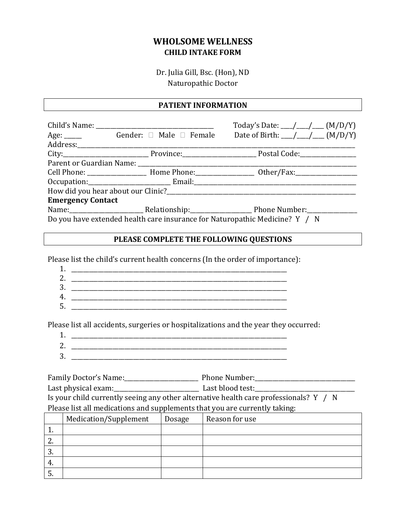## **WHOLSOME WELLNESS CHILD INTAKE FORM**

Dr. Julia Gill, Bsc. (Hon), ND Naturopathic Doctor

#### **PATIENT INFORMATION**

|                                                                                                                 |                              | Today's Date: ___/ ___/ ___ (M/D/Y)                                                                 |  |  |
|-----------------------------------------------------------------------------------------------------------------|------------------------------|-----------------------------------------------------------------------------------------------------|--|--|
|                                                                                                                 | Age: Gender: □ Male □ Female | Date of Birth: ___/ ___/ ___ (M/D/Y)                                                                |  |  |
|                                                                                                                 |                              |                                                                                                     |  |  |
|                                                                                                                 |                              |                                                                                                     |  |  |
|                                                                                                                 |                              |                                                                                                     |  |  |
|                                                                                                                 |                              | Cell Phone: _______________________ Home Phone: __________________ Other/Fax: _____________________ |  |  |
|                                                                                                                 |                              |                                                                                                     |  |  |
|                                                                                                                 |                              |                                                                                                     |  |  |
| <b>Emergency Contact</b>                                                                                        |                              |                                                                                                     |  |  |
| Name: Name: Name: Name: Nelationship: Name: Number: Number: Number: Nelson Indiana Phone Number: Name of Number |                              |                                                                                                     |  |  |
| Do you have extended health care insurance for Naturopathic Medicine? Y / N                                     |                              |                                                                                                     |  |  |

### **PLEASE COMPLETE THE FOLLOWING QUESTIONS**

Please list the child's current health concerns (In the order of importance):

| ◢            |  |
|--------------|--|
| ╭            |  |
| 2<br>$\cdot$ |  |
|              |  |
| . .          |  |

Please list all accidents, surgeries or hospitalizations and the year they occurred:

- 1. \_\_\_\_\_\_\_\_\_\_\_\_\_\_\_\_\_\_\_\_\_\_\_\_\_\_\_\_\_\_\_\_\_\_\_\_\_\_\_\_\_\_\_\_\_\_\_\_\_\_\_\_\_\_\_\_\_\_\_\_\_\_\_\_\_\_\_\_\_\_\_\_\_ 2. \_\_\_\_\_\_\_\_\_\_\_\_\_\_\_\_\_\_\_\_\_\_\_\_\_\_\_\_\_\_\_\_\_\_\_\_\_\_\_\_\_\_\_\_\_\_\_\_\_\_\_\_\_\_\_\_\_\_\_\_\_\_\_\_\_\_\_\_\_\_\_\_\_
- $3.$

Family Doctor's Name:\_\_\_\_\_\_\_\_\_\_\_\_\_\_\_\_\_\_\_\_\_\_\_\_\_ Phone Number:\_\_\_\_\_\_\_\_\_\_\_\_\_\_\_\_\_\_\_\_\_\_\_\_\_\_\_\_\_\_\_\_\_\_ Last physical exam:\_\_\_\_\_\_\_\_\_\_\_\_\_\_\_\_\_\_\_\_\_\_\_\_\_\_\_\_\_ Last blood test:\_\_\_\_\_\_\_\_\_\_\_\_\_\_\_\_\_\_\_\_\_\_\_\_\_\_\_\_\_\_\_\_\_\_ Is your child currently seeing any other alternative health care professionals? Y / N Please list all medications and supplements that you are currently taking:

|          |                       | $\mathbf{r}$ | $\overline{\phantom{a}}$<br>$\overline{\phantom{a}}$<br>ັ |
|----------|-----------------------|--------------|-----------------------------------------------------------|
|          | Medication/Supplement | Dosage       | Reason for use                                            |
| <b>.</b> |                       |              |                                                           |
| <u>.</u> |                       |              |                                                           |
| .ა.      |                       |              |                                                           |
| -4.      |                       |              |                                                           |
| J.       |                       |              |                                                           |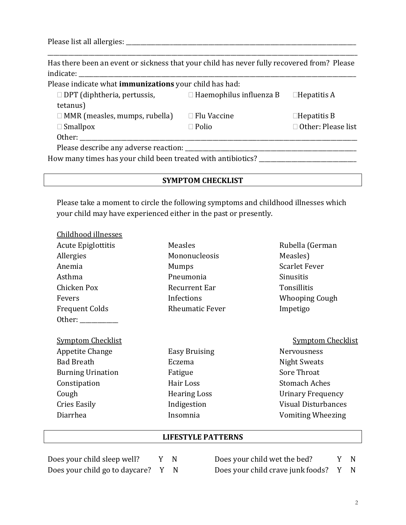Please list all allergies: \_\_\_\_\_\_\_\_\_\_\_\_\_\_\_\_\_\_\_\_\_\_\_\_\_\_\_\_\_\_\_\_\_\_\_\_\_\_\_\_\_\_\_\_\_\_\_\_\_\_\_\_\_\_\_\_\_\_\_\_\_\_\_\_\_\_\_\_\_\_\_\_\_\_\_\_\_\_

 $\overline{c}$ childhood isla

Has there been an event or sickness that your child has never fully recovered from? Please indicate:

\_\_\_\_\_\_\_\_\_\_\_\_\_\_\_\_\_\_\_\_\_\_\_\_\_\_\_\_\_\_\_\_\_\_\_\_\_\_\_\_\_\_\_\_\_\_\_\_\_\_\_\_\_\_\_\_\_\_\_\_\_\_\_\_\_\_\_\_\_\_\_\_\_\_\_\_\_\_\_\_\_\_\_\_\_\_\_\_\_\_\_\_\_\_\_\_\_\_\_\_\_\_\_\_\_

Please indicate what **immunizations** your child has had:

| $\Box$ DPT (diphtheria, pertussis,    | $\Box$ Haemophilus influenza B | $\Box$ Hepatitis A   |
|---------------------------------------|--------------------------------|----------------------|
| tetanus)                              |                                |                      |
| $\Box$ MMR (measles, mumps, rubella)  | $\Box$ Flu Vaccine             | $\Box$ Hepatitis B   |
| $\Box$ Smallpox                       | $\Box$ Polio                   | □ Other: Please list |
| Other:                                |                                |                      |
| Please describe any adverse reaction: |                                |                      |

How many times has your child been treated with antibiotics? \_\_\_\_\_\_\_\_\_\_\_\_\_\_\_\_\_\_\_\_\_\_\_\_\_\_

## **SYMPTOM CHECKLIST**

Please take a moment to circle the following symptoms and childhood illnesses which your child may have experienced either in the past or presently.

| Unilahood illnesses       |                        |                            |
|---------------------------|------------------------|----------------------------|
| <b>Acute Epiglottitis</b> | Measles                | Rubella (German            |
| Allergies                 | Mononucleosis          | Measles)                   |
| Anemia                    | <b>Mumps</b>           | <b>Scarlet Fever</b>       |
| Asthma                    | Pneumonia              | <b>Sinusitis</b>           |
| Chicken Pox               | <b>Recurrent Ear</b>   | Tonsillitis                |
| Fevers                    | Infections             | <b>Whooping Cough</b>      |
| <b>Frequent Colds</b>     | <b>Rheumatic Fever</b> | Impetigo                   |
| Other:                    |                        |                            |
|                           |                        |                            |
| <b>Symptom Checklist</b>  |                        | <b>Symptom Checklist</b>   |
| Appetite Change           | Easy Bruising          | <b>Nervousness</b>         |
| <b>Bad Breath</b>         | Eczema                 | Night Sweats               |
| <b>Burning Urination</b>  | Fatigue                | Sore Throat                |
| Constipation              | Hair Loss              | <b>Stomach Aches</b>       |
| Cough                     | <b>Hearing Loss</b>    | <b>Urinary Frequency</b>   |
| Cries Easily              | Indigestion            | <b>Visual Disturbances</b> |
| Diarrhea                  | Insomnia               | <b>Vomiting Wheezing</b>   |

### **LIFESTYLE PATTERNS**

| Does your child sleep well?      | Y N |             |
|----------------------------------|-----|-------------|
| Does your child go to daycare? Y |     | $\mathbf N$ |

Does your child wet the bed? Y N Does your child crave junk foods? Y N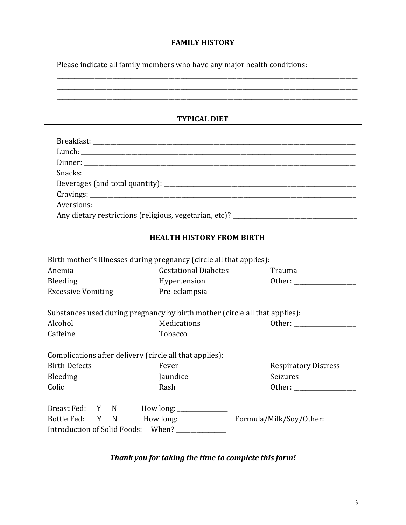### **FAMILY HISTORY**

\_\_\_\_\_\_\_\_\_\_\_\_\_\_\_\_\_\_\_\_\_\_\_\_\_\_\_\_\_\_\_\_\_\_\_\_\_\_\_\_\_\_\_\_\_\_\_\_\_\_\_\_\_\_\_\_\_\_\_\_\_\_\_\_\_\_\_\_\_\_\_\_\_\_\_\_\_\_\_\_\_\_\_\_\_\_\_\_\_\_\_\_\_\_\_\_\_\_\_\_\_\_ \_\_\_\_\_\_\_\_\_\_\_\_\_\_\_\_\_\_\_\_\_\_\_\_\_\_\_\_\_\_\_\_\_\_\_\_\_\_\_\_\_\_\_\_\_\_\_\_\_\_\_\_\_\_\_\_\_\_\_\_\_\_\_\_\_\_\_\_\_\_\_\_\_\_\_\_\_\_\_\_\_\_\_\_\_\_\_\_\_\_\_\_\_\_\_\_\_\_\_\_\_\_ \_\_\_\_\_\_\_\_\_\_\_\_\_\_\_\_\_\_\_\_\_\_\_\_\_\_\_\_\_\_\_\_\_\_\_\_\_\_\_\_\_\_\_\_\_\_\_\_\_\_\_\_\_\_\_\_\_\_\_\_\_\_\_\_\_\_\_\_\_\_\_\_\_\_\_\_\_\_\_\_\_\_\_\_\_\_\_\_\_\_\_\_\_\_\_\_\_\_\_\_\_\_

Please indicate all family members who have any major health conditions:

**TYPICAL DIET**

| Any dietary restrictions (religious, vegetarian, etc)? _________________________ |
|----------------------------------------------------------------------------------|

#### **HEALTH HISTORY FROM BIRTH**

| Birth mother's illnesses during pregnancy (circle all that applies):        |                             |                             |  |  |
|-----------------------------------------------------------------------------|-----------------------------|-----------------------------|--|--|
| Anemia                                                                      | <b>Gestational Diabetes</b> | Trauma                      |  |  |
| Bleeding                                                                    | Hypertension                | Other:                      |  |  |
| <b>Excessive Vomiting</b>                                                   | Pre-eclampsia               |                             |  |  |
| Substances used during pregnancy by birth mother (circle all that applies): |                             |                             |  |  |
| Alcohol                                                                     | Medications                 | Other:                      |  |  |
| Caffeine                                                                    | Tobacco                     |                             |  |  |
| Complications after delivery (circle all that applies):                     |                             |                             |  |  |
| <b>Birth Defects</b>                                                        | Fever                       | <b>Respiratory Distress</b> |  |  |
| Bleeding                                                                    | Jaundice                    | Seizures                    |  |  |
| Colic                                                                       | Rash                        | Other:                      |  |  |
| Breast Fed: Y N                                                             | $How long: ________$        |                             |  |  |
| Bottle Fed: Y N                                                             |                             |                             |  |  |
| Introduction of Solid Foods: When?                                          |                             |                             |  |  |

# *Thank you for taking the time to complete this form!*